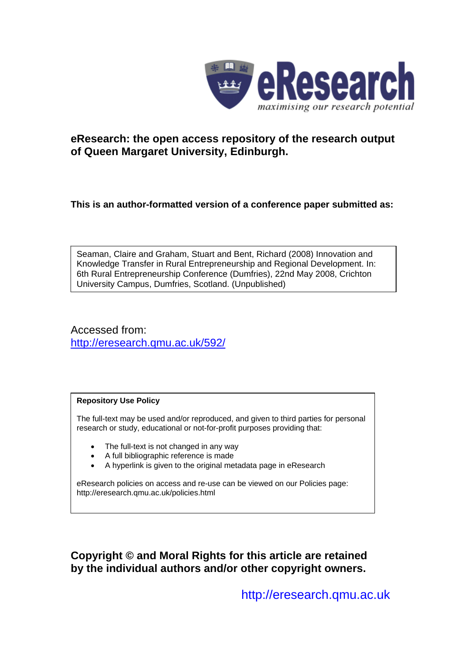

# **eResearch: the open access repository of the research output of Queen Margaret University, Edinburgh.**

## **This is an author-formatted version of a conference paper submitted as:**

Seaman, Claire and Graham, Stuart and Bent, Richard (2008) Innovation and Knowledge Transfer in Rural Entrepreneurship and Regional Development. In: 6th Rural Entrepreneurship Conference (Dumfries), 22nd May 2008, Crichton University Campus, Dumfries, Scotland. (Unpublished)

[Accessed from:](http://eresearch.qmu.ac.uk/568/)  http://eresearch.qmu.ac.uk/592/

## **Repository Use Policy**

The full-text may be used and/or reproduced, and given to third parties for personal research or study, educational or not-for-profit purposes providing that:

- The full-text is not changed in any way
- A full bibliographic reference is made
- • [A hyperlink is given to the origin](http://eresearch.qmu.ac.uk/policies.html)al metadata page in eResearch

eResearch policies on access and re-use can be viewed on our Policies page: http://eresearch.qmu.ac.uk/policies.html

**Copyright © and Moral Rights for this article are retained by the individual authors and/[or other copyright owners.](http://eresearch.qmu.ac.uk/)** 

http://eresearch.qmu.ac.uk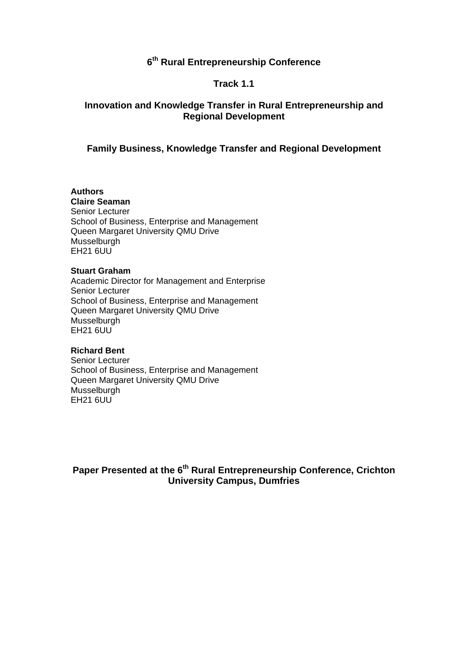## **6th Rural Entrepreneurship Conference**

## **Track 1.1**

## **Innovation and Knowledge Transfer in Rural Entrepreneurship and Regional Development**

## **Family Business, Knowledge Transfer and Regional Development**

#### **Authors**

**Claire Seaman**  Senior Lecturer School of Business, Enterprise and Management Queen Margaret University QMU Drive Musselburgh **EH21 6UU** 

#### **Stuart Graham**

Academic Director for Management and Enterprise Senior Lecturer School of Business, Enterprise and Management Queen Margaret University QMU Drive Musselburgh EH21 6UU

## **Richard Bent**

Senior Lecturer School of Business, Enterprise and Management Queen Margaret University QMU Drive Musselburgh **EH21 6UU** 

Paper Presented at the 6<sup>th</sup> Rural Entrepreneurship Conference, Crichton **University Campus, Dumfries**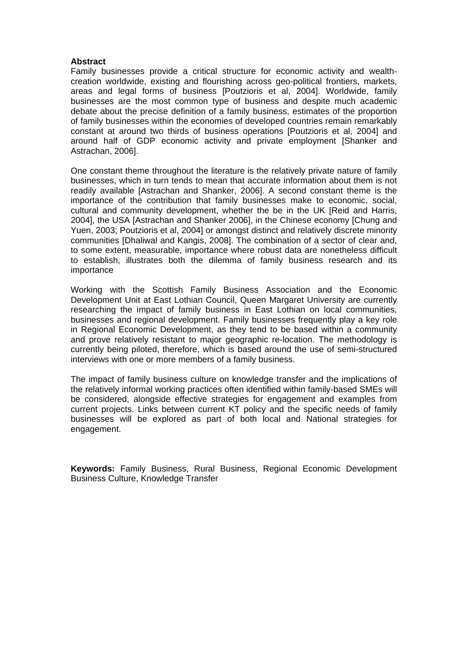#### **Abstract**

Family businesses provide a critical structure for economic activity and wealthcreation worldwide, existing and flourishing across geo-political frontiers, markets, areas and legal forms of business [Poutzioris et al, 2004]. Worldwide, family businesses are the most common type of business and despite much academic debate about the precise definition of a family business, estimates of the proportion of family businesses within the economies of developed countries remain remarkably constant at around two thirds of business operations [Poutzioris et al, 2004] and around half of GDP economic activity and private employment [Shanker and Astrachan, 2006].

One constant theme throughout the literature is the relatively private nature of family businesses, which in turn tends to mean that accurate information about them is not readily available [Astrachan and Shanker, 2006]. A second constant theme is the importance of the contribution that family businesses make to economic, social, cultural and community development, whether the be in the UK [Reid and Harris, 2004], the USA [Astrachan and Shanker 2006], in the Chinese economy [Chung and Yuen, 2003; Poutzioris et al, 2004] or amongst distinct and relatively discrete minority communities [Dhaliwal and Kangis, 2008]. The combination of a sector of clear and, to some extent, measurable, importance where robust data are nonetheless difficult to establish, illustrates both the dilemma of family business research and its importance

Working with the Scottish Family Business Association and the Economic Development Unit at East Lothian Council, Queen Margaret University are currently researching the impact of family business in East Lothian on local communities, businesses and regional development. Family businesses frequently play a key role in Regional Economic Development, as they tend to be based within a community and prove relatively resistant to major geographic re-location. The methodology is currently being piloted, therefore, which is based around the use of semi-structured interviews with one or more members of a family business.

The impact of family business culture on knowledge transfer and the implications of the relatively informal working practices often identified within family-based SMEs will be considered, alongside effective strategies for engagement and examples from current projects. Links between current KT policy and the specific needs of family businesses will be explored as part of both local and National strategies for engagement.

**Keywords:** Family Business, Rural Business, Regional Economic Development Business Culture, Knowledge Transfer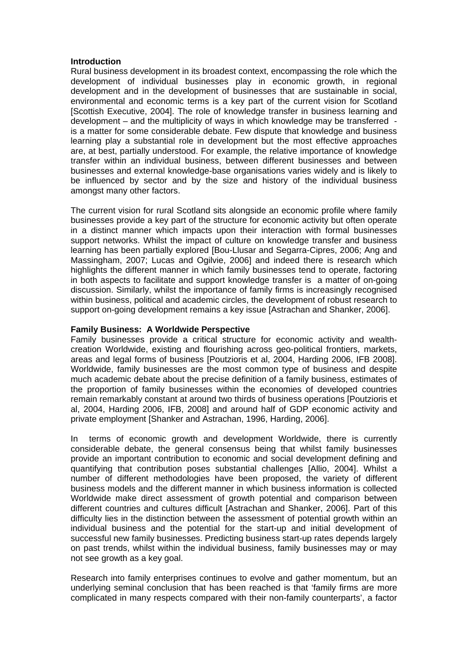#### **Introduction**

Rural business development in its broadest context, encompassing the role which the development of individual businesses play in economic growth, in regional development and in the development of businesses that are sustainable in social, environmental and economic terms is a key part of the current vision for Scotland [Scottish Executive, 2004]. The role of knowledge transfer in business learning and development – and the multiplicity of ways in which knowledge may be transferred is a matter for some considerable debate. Few dispute that knowledge and business learning play a substantial role in development but the most effective approaches are, at best, partially understood. For example, the relative importance of knowledge transfer within an individual business, between different businesses and between businesses and external knowledge-base organisations varies widely and is likely to be influenced by sector and by the size and history of the individual business amongst many other factors.

The current vision for rural Scotland sits alongside an economic profile where family businesses provide a key part of the structure for economic activity but often operate in a distinct manner which impacts upon their interaction with formal businesses support networks. Whilst the impact of culture on knowledge transfer and business learning has been partially explored [Bou-Llusar and Segarra-Cipres, 2006; Ang and Massingham, 2007; Lucas and Ogilvie, 2006] and indeed there is research which highlights the different manner in which family businesses tend to operate, factoring in both aspects to facilitate and support knowledge transfer is a matter of on-going discussion. Similarly, whilst the importance of family firms is increasingly recognised within business, political and academic circles, the development of robust research to support on-going development remains a key issue [Astrachan and Shanker, 2006].

#### **Family Business: A Worldwide Perspective**

Family businesses provide a critical structure for economic activity and wealthcreation Worldwide, existing and flourishing across geo-political frontiers, markets, areas and legal forms of business [Poutzioris et al, 2004, Harding 2006, IFB 2008]. Worldwide, family businesses are the most common type of business and despite much academic debate about the precise definition of a family business, estimates of the proportion of family businesses within the economies of developed countries remain remarkably constant at around two thirds of business operations [Poutzioris et al, 2004, Harding 2006, IFB, 2008] and around half of GDP economic activity and private employment [Shanker and Astrachan, 1996, Harding, 2006].

In terms of economic growth and development Worldwide, there is currently considerable debate, the general consensus being that whilst family businesses provide an important contribution to economic and social development defining and quantifying that contribution poses substantial challenges [Allio, 2004]. Whilst a number of different methodologies have been proposed, the variety of different business models and the different manner in which business information is collected Worldwide make direct assessment of growth potential and comparison between different countries and cultures difficult [Astrachan and Shanker, 2006]. Part of this difficulty lies in the distinction between the assessment of potential growth within an individual business and the potential for the start-up and initial development of successful new family businesses. Predicting business start-up rates depends largely on past trends, whilst within the individual business, family businesses may or may not see growth as a key goal.

Research into family enterprises continues to evolve and gather momentum, but an underlying seminal conclusion that has been reached is that 'family firms are more complicated in many respects compared with their non-family counterparts', a factor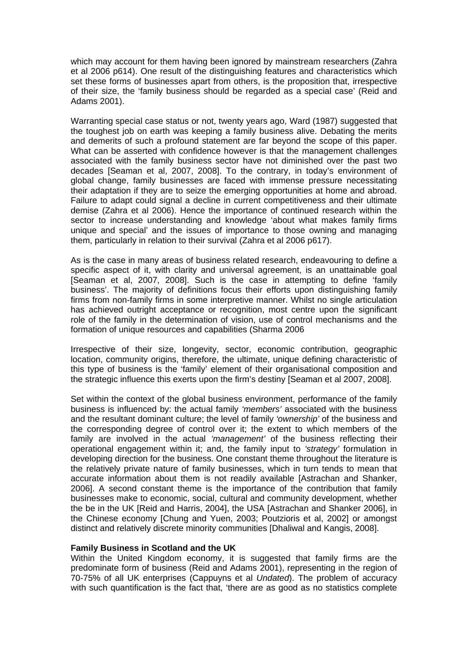which may account for them having been ignored by mainstream researchers (Zahra et al 2006 p614). One result of the distinguishing features and characteristics which set these forms of businesses apart from others, is the proposition that, irrespective of their size, the 'family business should be regarded as a special case' (Reid and Adams 2001).

Warranting special case status or not, twenty years ago, Ward (1987) suggested that the toughest job on earth was keeping a family business alive. Debating the merits and demerits of such a profound statement are far beyond the scope of this paper. What can be asserted with confidence however is that the management challenges associated with the family business sector have not diminished over the past two decades [Seaman et al, 2007, 2008]. To the contrary, in today's environment of global change, family businesses are faced with immense pressure necessitating their adaptation if they are to seize the emerging opportunities at home and abroad. Failure to adapt could signal a decline in current competitiveness and their ultimate demise (Zahra et al 2006). Hence the importance of continued research within the sector to increase understanding and knowledge 'about what makes family firms unique and special' and the issues of importance to those owning and managing them, particularly in relation to their survival (Zahra et al 2006 p617).

As is the case in many areas of business related research, endeavouring to define a specific aspect of it, with clarity and universal agreement, is an unattainable goal [Seaman et al, 2007, 2008]. Such is the case in attempting to define 'family business'. The majority of definitions focus their efforts upon distinguishing family firms from non-family firms in some interpretive manner. Whilst no single articulation has achieved outright acceptance or recognition, most centre upon the significant role of the family in the determination of vision, use of control mechanisms and the formation of unique resources and capabilities (Sharma 2006

Irrespective of their size, longevity, sector, economic contribution, geographic location, community origins, therefore, the ultimate, unique defining characteristic of this type of business is the 'family' element of their organisational composition and the strategic influence this exerts upon the firm's destiny [Seaman et al 2007, 2008].

Set within the context of the global business environment, performance of the family business is influenced by: the actual family *'members'* associated with the business and the resultant dominant culture; the level of family *'ownership'* of the business and the corresponding degree of control over it; the extent to which members of the family are involved in the actual *'management'* of the business reflecting their operational engagement within it; and, the family input to *'strategy'* formulation in developing direction for the business. One constant theme throughout the literature is the relatively private nature of family businesses, which in turn tends to mean that accurate information about them is not readily available [Astrachan and Shanker, 2006]. A second constant theme is the importance of the contribution that family businesses make to economic, social, cultural and community development, whether the be in the UK [Reid and Harris, 2004], the USA [Astrachan and Shanker 2006], in the Chinese economy [Chung and Yuen, 2003; Poutzioris et al, 2002] or amongst distinct and relatively discrete minority communities [Dhaliwal and Kangis, 2008].

#### **Family Business in Scotland and the UK**

Within the United Kingdom economy, it is suggested that family firms are the predominate form of business (Reid and Adams 2001), representing in the region of 70-75% of all UK enterprises (Cappuyns et al *Undated*). The problem of accuracy with such quantification is the fact that, 'there are as good as no statistics complete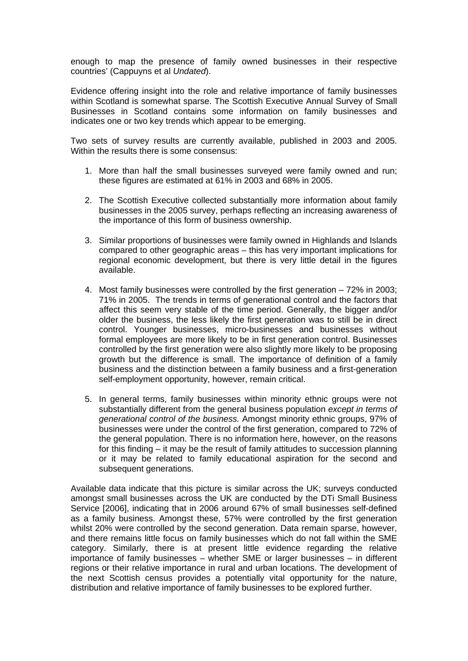enough to map the presence of family owned businesses in their respective countries' (Cappuyns et al *Undated*).

Evidence offering insight into the role and relative importance of family businesses within Scotland is somewhat sparse. The Scottish Executive Annual Survey of Small Businesses in Scotland contains some information on family businesses and indicates one or two key trends which appear to be emerging.

Two sets of survey results are currently available, published in 2003 and 2005. Within the results there is some consensus:

- 1. More than half the small businesses surveyed were family owned and run; these figures are estimated at 61% in 2003 and 68% in 2005.
- 2. The Scottish Executive collected substantially more information about family businesses in the 2005 survey, perhaps reflecting an increasing awareness of the importance of this form of business ownership.
- 3. Similar proportions of businesses were family owned in Highlands and Islands compared to other geographic areas – this has very important implications for regional economic development, but there is very little detail in the figures available.
- 4. Most family businesses were controlled by the first generation 72% in 2003; 71% in 2005. The trends in terms of generational control and the factors that affect this seem very stable of the time period. Generally, the bigger and/or older the business, the less likely the first generation was to still be in direct control. Younger businesses, micro-businesses and businesses without formal employees are more likely to be in first generation control. Businesses controlled by the first generation were also slightly more likely to be proposing growth but the difference is small. The importance of definition of a family business and the distinction between a family business and a first-generation self-employment opportunity, however, remain critical.
- 5. In general terms, family businesses within minority ethnic groups were not substantially different from the general business population *except in terms of generational control of the business.* Amongst minority ethnic groups, 97% of businesses were under the control of the first generation, compared to 72% of the general population. There is no information here, however, on the reasons for this finding – it may be the result of family attitudes to succession planning or it may be related to family educational aspiration for the second and subsequent generations.

Available data indicate that this picture is similar across the UK; surveys conducted amongst small businesses across the UK are conducted by the DTi Small Business Service [2006], indicating that in 2006 around 67% of small businesses self-defined as a family business. Amongst these, 57% were controlled by the first generation whilst 20% were controlled by the second generation. Data remain sparse, however, and there remains little focus on family businesses which do not fall within the SME category. Similarly, there is at present little evidence regarding the relative importance of family businesses – whether SME or larger businesses – in different regions or their relative importance in rural and urban locations. The development of the next Scottish census provides a potentially vital opportunity for the nature, distribution and relative importance of family businesses to be explored further.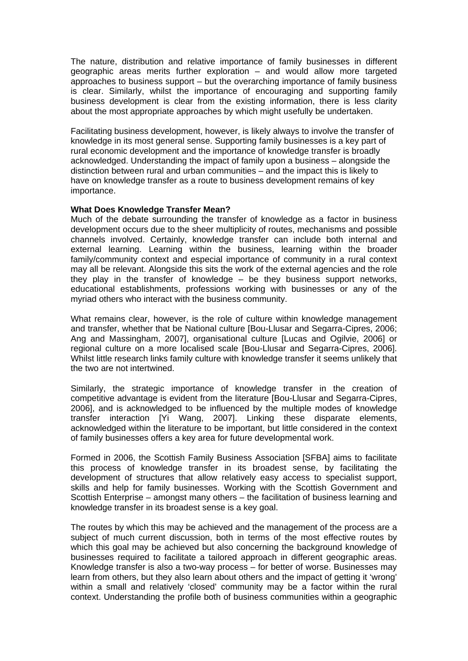The nature, distribution and relative importance of family businesses in different geographic areas merits further exploration – and would allow more targeted approaches to business support – but the overarching importance of family business is clear. Similarly, whilst the importance of encouraging and supporting family business development is clear from the existing information, there is less clarity about the most appropriate approaches by which might usefully be undertaken.

Facilitating business development, however, is likely always to involve the transfer of knowledge in its most general sense. Supporting family businesses is a key part of rural economic development and the importance of knowledge transfer is broadly acknowledged. Understanding the impact of family upon a business – alongside the distinction between rural and urban communities – and the impact this is likely to have on knowledge transfer as a route to business development remains of key importance.

#### **What Does Knowledge Transfer Mean?**

Much of the debate surrounding the transfer of knowledge as a factor in business development occurs due to the sheer multiplicity of routes, mechanisms and possible channels involved. Certainly, knowledge transfer can include both internal and external learning. Learning within the business, learning within the broader family/community context and especial importance of community in a rural context may all be relevant. Alongside this sits the work of the external agencies and the role they play in the transfer of knowledge – be they business support networks, educational establishments, professions working with businesses or any of the myriad others who interact with the business community.

What remains clear, however, is the role of culture within knowledge management and transfer, whether that be National culture [Bou-Llusar and Segarra-Cipres, 2006; Ang and Massingham, 2007], organisational culture [Lucas and Ogilvie, 2006] or regional culture on a more localised scale [Bou-Llusar and Segarra-Cipres, 2006]. Whilst little research links family culture with knowledge transfer it seems unlikely that the two are not intertwined.

Similarly, the strategic importance of knowledge transfer in the creation of competitive advantage is evident from the literature [Bou-Llusar and Segarra-Cipres, 2006], and is acknowledged to be influenced by the multiple modes of knowledge transfer interaction [Yi Wang, 2007]. Linking these disparate elements, acknowledged within the literature to be important, but little considered in the context of family businesses offers a key area for future developmental work.

Formed in 2006, the Scottish Family Business Association [SFBA] aims to facilitate this process of knowledge transfer in its broadest sense, by facilitating the development of structures that allow relatively easy access to specialist support, skills and help for family businesses. Working with the Scottish Government and Scottish Enterprise – amongst many others – the facilitation of business learning and knowledge transfer in its broadest sense is a key goal.

The routes by which this may be achieved and the management of the process are a subject of much current discussion, both in terms of the most effective routes by which this goal may be achieved but also concerning the background knowledge of businesses required to facilitate a tailored approach in different geographic areas. Knowledge transfer is also a two-way process – for better of worse. Businesses may learn from others, but they also learn about others and the impact of getting it 'wrong' within a small and relatively 'closed' community may be a factor within the rural context. Understanding the profile both of business communities within a geographic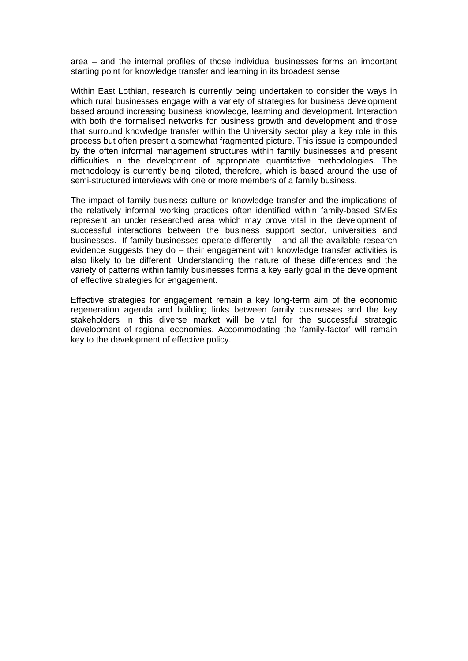area – and the internal profiles of those individual businesses forms an important starting point for knowledge transfer and learning in its broadest sense.

Within East Lothian, research is currently being undertaken to consider the ways in which rural businesses engage with a variety of strategies for business development based around increasing business knowledge, learning and development. Interaction with both the formalised networks for business growth and development and those that surround knowledge transfer within the University sector play a key role in this process but often present a somewhat fragmented picture. This issue is compounded by the often informal management structures within family businesses and present difficulties in the development of appropriate quantitative methodologies. The methodology is currently being piloted, therefore, which is based around the use of semi-structured interviews with one or more members of a family business.

The impact of family business culture on knowledge transfer and the implications of the relatively informal working practices often identified within family-based SMEs represent an under researched area which may prove vital in the development of successful interactions between the business support sector, universities and businesses. If family businesses operate differently – and all the available research evidence suggests they do – their engagement with knowledge transfer activities is also likely to be different. Understanding the nature of these differences and the variety of patterns within family businesses forms a key early goal in the development of effective strategies for engagement.

Effective strategies for engagement remain a key long-term aim of the economic regeneration agenda and building links between family businesses and the key stakeholders in this diverse market will be vital for the successful strategic development of regional economies. Accommodating the 'family-factor' will remain key to the development of effective policy.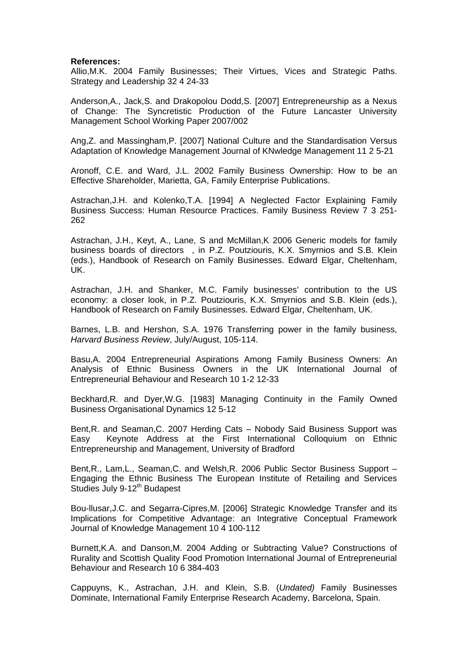#### **References:**

Allio,M.K. 2004 Family Businesses; Their Virtues, Vices and Strategic Paths. Strategy and Leadership 32 4 24-33

Anderson,A., Jack,S. and Drakopolou Dodd,S. [2007] Entrepreneurship as a Nexus of Change: The Syncretistic Production of the Future Lancaster University Management School Working Paper 2007/002

Ang,Z. and Massingham,P. [2007] National Culture and the Standardisation Versus Adaptation of Knowledge Management Journal of KNwledge Management 11 2 5-21

Aronoff, C.E. and Ward, J.L. 2002 Family Business Ownership: How to be an Effective Shareholder, Marietta, GA, Family Enterprise Publications.

Astrachan,J.H. and Kolenko,T.A. [1994] A Neglected Factor Explaining Family Business Success: Human Resource Practices. Family Business Review 7 3 251- 262

Astrachan, J.H., Keyt, A., Lane, S and McMillan,K 2006 Generic models for family business boards of directors , in P.Z. Poutziouris, K.X. Smyrnios and S.B. Klein (eds.), Handbook of Research on Family Businesses. Edward Elgar, Cheltenham, UK.

Astrachan, J.H. and Shanker, M.C. Family businesses' contribution to the US economy: a closer look, in P.Z. Poutziouris, K.X. Smyrnios and S.B. Klein (eds.), Handbook of Research on Family Businesses. Edward Elgar, Cheltenham, UK.

Barnes, L.B. and Hershon, S.A. 1976 Transferring power in the family business, *Harvard Business Review*, July/August, 105-114.

Basu,A. 2004 Entrepreneurial Aspirations Among Family Business Owners: An Analysis of Ethnic Business Owners in the UK International Journal of Entrepreneurial Behaviour and Research 10 1-2 12-33

Beckhard,R. and Dyer,W.G. [1983] Managing Continuity in the Family Owned Business Organisational Dynamics 12 5-12

Bent,R. and Seaman,C. 2007 Herding Cats – Nobody Said Business Support was Easy Keynote Address at the First International Colloquium on Ethnic Entrepreneurship and Management, University of Bradford

Bent,R., Lam,L., Seaman,C. and Welsh,R. 2006 Public Sector Business Support – Engaging the Ethnic Business The European Institute of Retailing and Services Studies July 9-12<sup>th</sup> Budapest

Bou-llusar,J.C. and Segarra-Cipres,M. [2006] Strategic Knowledge Transfer and its Implications for Competitive Advantage: an Integrative Conceptual Framework Journal of Knowledge Management 10 4 100-112

Burnett,K.A. and Danson,M. 2004 Adding or Subtracting Value? Constructions of Rurality and Scottish Quality Food Promotion International Journal of Entrepreneurial Behaviour and Research 10 6 384-403

Cappuyns, K., Astrachan, J.H. and Klein, S.B. (*Undated)* Family Businesses Dominate, International Family Enterprise Research Academy, Barcelona, Spain.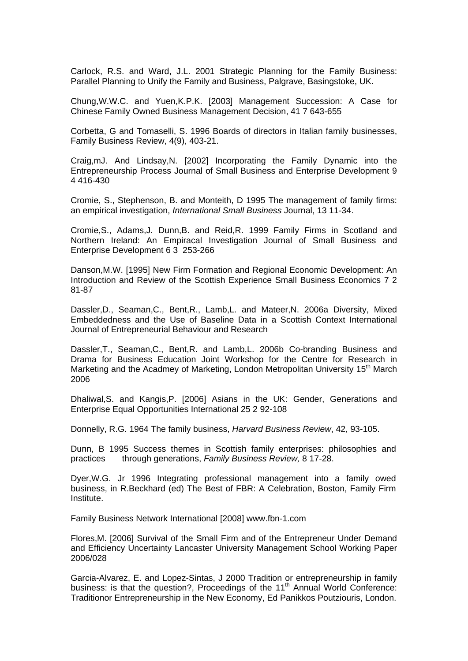Carlock, R.S. and Ward, J.L. 2001 Strategic Planning for the Family Business: Parallel Planning to Unify the Family and Business, Palgrave, Basingstoke, UK.

Chung,W.W.C. and Yuen,K.P.K. [2003] Management Succession: A Case for Chinese Family Owned Business Management Decision, 41 7 643-655

Corbetta, G and Tomaselli, S. 1996 Boards of directors in Italian family businesses, Family Business Review, 4(9), 403-21.

Craig,mJ. And Lindsay,N. [2002] Incorporating the Family Dynamic into the Entrepreneurship Process Journal of Small Business and Enterprise Development 9 4 416-430

Cromie, S., Stephenson, B. and Monteith, D 1995 The management of family firms: an empirical investigation, *International Small Business* Journal, 13 11-34.

Cromie,S., Adams,J. Dunn,B. and Reid,R. 1999 Family Firms in Scotland and Northern Ireland: An Empiracal Investigation Journal of Small Business and Enterprise Development 6 3 253-266

Danson,M.W. [1995] New Firm Formation and Regional Economic Development: An Introduction and Review of the Scottish Experience Small Business Economics 7 2 81-87

Dassler,D., Seaman,C., Bent,R., Lamb,L. and Mateer,N. 2006a Diversity, Mixed Embeddedness and the Use of Baseline Data in a Scottish Context International Journal of Entrepreneurial Behaviour and Research

Dassler,T., Seaman,C., Bent,R. and Lamb,L. 2006b Co-branding Business and Drama for Business Education Joint Workshop for the Centre for Research in Marketing and the Acadmey of Marketing, London Metropolitan University 15<sup>th</sup> March 2006

Dhaliwal,S. and Kangis,P. [2006] Asians in the UK: Gender, Generations and Enterprise Equal Opportunities International 25 2 92-108

Donnelly, R.G. 1964 The family business, *Harvard Business Review*, 42, 93-105.

Dunn, B 1995 Success themes in Scottish family enterprises: philosophies and practices through generations, *Family Business Review,* 8 17-28.

Dyer,W.G. Jr 1996 Integrating professional management into a family owed business, in R.Beckhard (ed) The Best of FBR: A Celebration, Boston, Family Firm Institute.

Family Business Network International [2008] www.fbn-1.com

Flores,M. [2006] Survival of the Small Firm and of the Entrepreneur Under Demand and Efficiency Uncertainty Lancaster University Management School Working Paper 2006/028

Garcia-Alvarez, E. and Lopez-Sintas, J 2000 Tradition or entrepreneurship in family business: is that the question?, Proceedings of the 11<sup>th</sup> Annual World Conference: Traditionor Entrepreneurship in the New Economy, Ed Panikkos Poutziouris, London.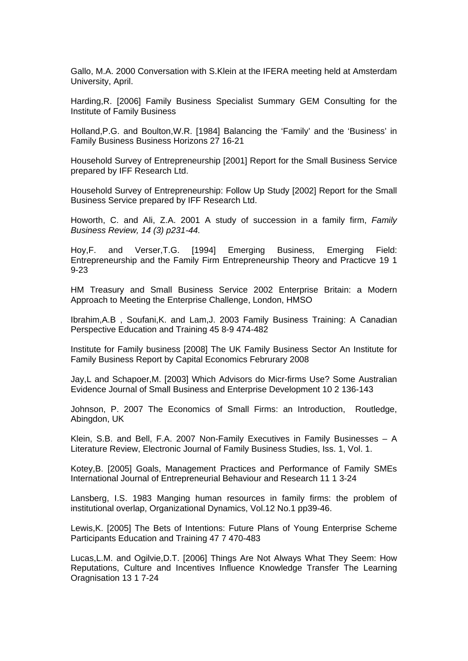Gallo, M.A. 2000 Conversation with S.Klein at the IFERA meeting held at Amsterdam University, April.

Harding,R. [2006] Family Business Specialist Summary GEM Consulting for the Institute of Family Business

Holland,P.G. and Boulton,W.R. [1984] Balancing the 'Family' and the 'Business' in Family Business Business Horizons 27 16-21

Household Survey of Entrepreneurship [2001] Report for the Small Business Service prepared by IFF Research Ltd.

Household Survey of Entrepreneurship: Follow Up Study [2002] Report for the Small Business Service prepared by IFF Research Ltd.

Howorth, C. and Ali, Z.A. 2001 A study of succession in a family firm, *Family Business Review, 14 (3) p231-44.* 

Hoy,F. and Verser,T.G. [1994] Emerging Business, Emerging Field: Entrepreneurship and the Family Firm Entrepreneurship Theory and Practicve 19 1 9-23

HM Treasury and Small Business Service 2002 Enterprise Britain: a Modern Approach to Meeting the Enterprise Challenge, London, HMSO

Ibrahim,A.B , Soufani,K. and Lam,J. 2003 Family Business Training: A Canadian Perspective Education and Training 45 8-9 474-482

Institute for Family business [2008] The UK Family Business Sector An Institute for Family Business Report by Capital Economics Februrary 2008

Jay,L and Schapoer,M. [2003] Which Advisors do Micr-firms Use? Some Australian Evidence Journal of Small Business and Enterprise Development 10 2 136-143

Johnson, P. 2007 The Economics of Small Firms: an Introduction, Routledge, Abingdon, UK

Klein, S.B. and Bell, F.A. 2007 Non-Family Executives in Family Businesses – A Literature Review, Electronic Journal of Family Business Studies, Iss. 1, Vol. 1.

Kotey,B. [2005] Goals, Management Practices and Performance of Family SMEs International Journal of Entrepreneurial Behaviour and Research 11 1 3-24

Lansberg, I.S. 1983 Manging human resources in family firms: the problem of institutional overlap, Organizational Dynamics, Vol.12 No.1 pp39-46.

Lewis,K. [2005] The Bets of Intentions: Future Plans of Young Enterprise Scheme Participants Education and Training 47 7 470-483

Lucas,L.M. and Ogilvie,D.T. [2006] Things Are Not Always What They Seem: How Reputations, Culture and Incentives Influence Knowledge Transfer The Learning Oragnisation 13 1 7-24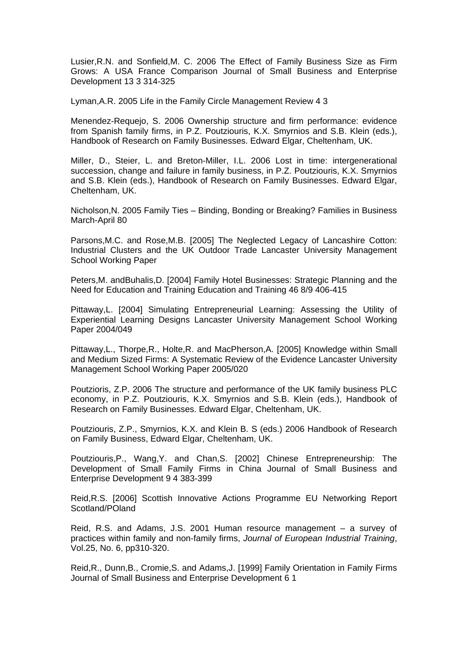Lusier,R.N. and Sonfield,M. C. 2006 The Effect of Family Business Size as Firm Grows: A USA France Comparison Journal of Small Business and Enterprise Development 13 3 314-325

Lyman,A.R. 2005 Life in the Family Circle Management Review 4 3

Menendez-Requejo, S. 2006 Ownership structure and firm performance: evidence from Spanish family firms, in P.Z. Poutziouris, K.X. Smyrnios and S.B. Klein (eds.), Handbook of Research on Family Businesses. Edward Elgar, Cheltenham, UK.

Miller, D., Steier, L. and Breton-Miller, I.L. 2006 Lost in time: intergenerational succession, change and failure in family business, in P.Z. Poutziouris, K.X. Smyrnios and S.B. Klein (eds.), Handbook of Research on Family Businesses. Edward Elgar, Cheltenham, UK.

Nicholson,N. 2005 Family Ties – Binding, Bonding or Breaking? Families in Business March-April 80

Parsons,M.C. and Rose,M.B. [2005] The Neglected Legacy of Lancashire Cotton: Industrial Clusters and the UK Outdoor Trade Lancaster University Management School Working Paper

Peters,M. andBuhalis,D. [2004] Family Hotel Businesses: Strategic Planning and the Need for Education and Training Education and Training 46 8/9 406-415

Pittaway,L. [2004] Simulating Entrepreneurial Learning: Assessing the Utility of Experiential Learning Designs Lancaster University Management School Working Paper 2004/049

Pittaway,L., Thorpe,R., Holte,R. and MacPherson,A. [2005] Knowledge within Small and Medium Sized Firms: A Systematic Review of the Evidence Lancaster University Management School Working Paper 2005/020

Poutzioris, Z.P. 2006 The structure and performance of the UK family business PLC economy, in P.Z. Poutziouris, K.X. Smyrnios and S.B. Klein (eds.), Handbook of Research on Family Businesses. Edward Elgar, Cheltenham, UK.

Poutziouris, Z.P., Smyrnios, K.X. and Klein B. S (eds.) 2006 Handbook of Research on Family Business, Edward Elgar, Cheltenham, UK.

Poutziouris,P., Wang,Y. and Chan,S. [2002] Chinese Entrepreneurship: The Development of Small Family Firms in China Journal of Small Business and Enterprise Development 9 4 383-399

Reid,R.S. [2006] Scottish Innovative Actions Programme EU Networking Report Scotland/POland

Reid, R.S. and Adams, J.S. 2001 Human resource management – a survey of practices within family and non-family firms, *Journal of European Industrial Training*, Vol.25, No. 6, pp310-320.

Reid,R., Dunn,B., Cromie,S. and Adams,J. [1999] Family Orientation in Family Firms Journal of Small Business and Enterprise Development 6 1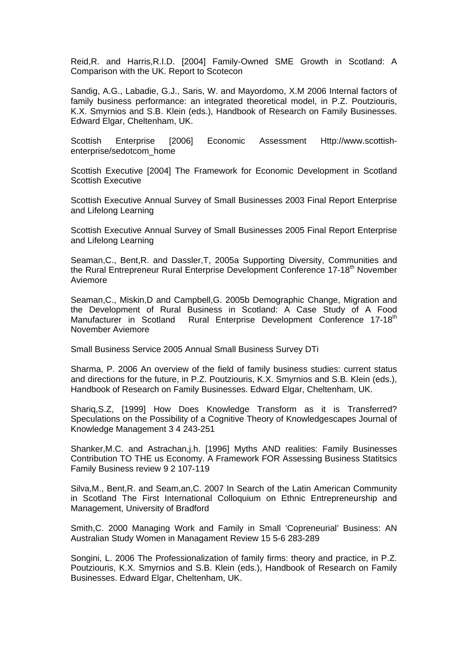Reid,R. and Harris,R.I.D. [2004] Family-Owned SME Growth in Scotland: A Comparison with the UK. Report to Scotecon

Sandig, A.G., Labadie, G.J., Saris, W. and Mayordomo, X.M 2006 Internal factors of family business performance: an integrated theoretical model, in P.Z. Poutziouris, K.X. Smyrnios and S.B. Klein (eds.), Handbook of Research on Family Businesses. Edward Elgar, Cheltenham, UK.

Scottish Enterprise [2006] Economic Assessment Http://www.scottishenterprise/sedotcom\_home

Scottish Executive [2004] The Framework for Economic Development in Scotland Scottish Executive

Scottish Executive Annual Survey of Small Businesses 2003 Final Report Enterprise and Lifelong Learning

Scottish Executive Annual Survey of Small Businesses 2005 Final Report Enterprise and Lifelong Learning

Seaman,C., Bent,R. and Dassler,T, 2005a Supporting Diversity, Communities and the Rural Entrepreneur Rural Enterprise Development Conference 17-18<sup>th</sup> November Aviemore

Seaman,C., Miskin,D and Campbell,G. 2005b Demographic Change, Migration and the Development of Rural Business in Scotland: A Case Study of A Food Manufacturer in Scotland Rural Enterprise Development Conference 17-18<sup>th</sup> November Aviemore

Small Business Service 2005 Annual Small Business Survey DTi

Sharma, P. 2006 An overview of the field of family business studies: current status and directions for the future, in P.Z. Poutziouris, K.X. Smyrnios and S.B. Klein (eds.), Handbook of Research on Family Businesses. Edward Elgar, Cheltenham, UK.

Shariq,S.Z, [1999] How Does Knowledge Transform as it is Transferred? Speculations on the Possibility of a Cognitive Theory of Knowledgescapes Journal of Knowledge Management 3 4 243-251

Shanker,M.C. and Astrachan,j.h. [1996] Myths AND realities: Family Businesses Contribution TO THE us Economy. A Framework FOR Assessing Business Statitsics Family Business review 9 2 107-119

Silva,M., Bent,R. and Seam,an,C. 2007 In Search of the Latin American Community in Scotland The First International Colloquium on Ethnic Entrepreneurship and Management, University of Bradford

Smith,C. 2000 Managing Work and Family in Small 'Copreneurial' Business: AN Australian Study Women in Managament Review 15 5-6 283-289

Songini, L. 2006 The Professionalization of family firms: theory and practice, in P.Z. Poutziouris, K.X. Smyrnios and S.B. Klein (eds.), Handbook of Research on Family Businesses. Edward Elgar, Cheltenham, UK.